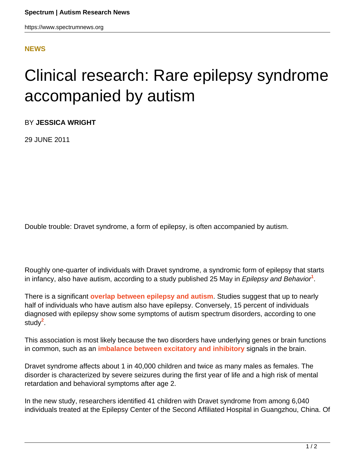https://www.spectrumnews.org

## **[NEWS](HTTPS://WWW.SPECTRUMNEWS.ORG/NEWS/)**

## Clinical research: Rare epilepsy syndrome accompanied by autism

BY **JESSICA WRIGHT**

29 JUNE 2011

Double trouble: Dravet syndrome, a form of epilepsy, is often accompanied by autism.

Roughly one-quarter of individuals with Dravet syndrome, a syndromic form of epilepsy that starts in infancy, also have autism, according to a study published 25 May in Epilepsy and Behavior**<sup>1</sup>** .

There is a significant **[overlap between epilepsy and autism](https://www.spectrumnews.org/news/2011/scientists-probe-puzzling-overlap-of-epilepsy-and-autism)**. Studies suggest that up to nearly half of individuals who have autism also have epilepsy. Conversely, 15 percent of individuals diagnosed with epilepsy show some symptoms of autism spectrum disorders, according to one study**<sup>2</sup>** .

This association is most likely because the two disorders have underlying genes or brain functions in common, such as an **[imbalance between excitatory and inhibitory](https://www.spectrumnews.org/conference-news/2010/society-for-neuroscience-2010/imaging-study-of-autism-finds-imbalance-of-signals)** signals in the brain.

Dravet syndrome affects about 1 in 40,000 children and twice as many males as females. The disorder is characterized by severe seizures during the first year of life and a high risk of mental retardation and behavioral symptoms after age 2.

In the new study, researchers identified 41 children with Dravet syndrome from among 6,040 individuals treated at the Epilepsy Center of the Second Affiliated Hospital in Guangzhou, China. Of